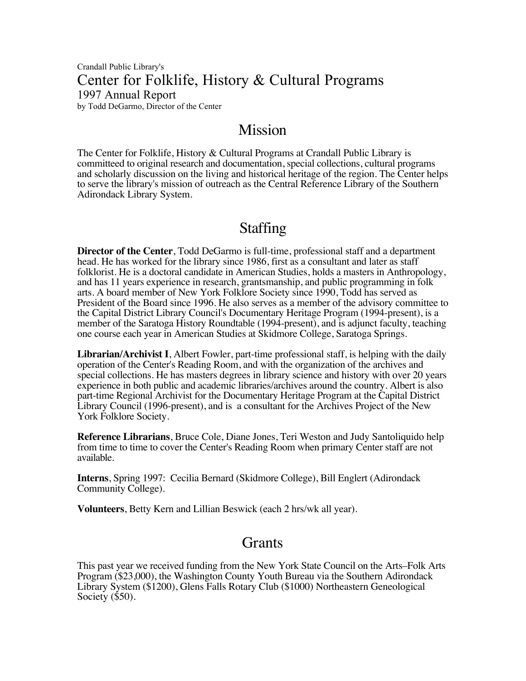Crandall Public Library's Center for Folklife, History & Cultural Programs 1997 Annual Report by Todd DeGarmo, Director of the Center

## Mission

The Center for Folklife, History & Cultural Programs at Crandall Public Library is committeed to original research and documentation, special collections, cultural programs and scholarly discussion on the living and historical heritage of the region. The Center helps to serve the library's mission of outreach as the Central Reference Library of the Southern Adirondack Library System.

## Staffing

**Director of the Center**, Todd DeGarmo is full-time, professional staff and a department head. He has worked for the library since 1986, first as a consultant and later as staff folklorist. He is a doctoral candidate in American Studies, holds a masters in Anthropology, and has 11 years experience in research, grantsmanship, and public programming in folk arts. A board member of New York Folklore Society since 1990, Todd has served as President of the Board since 1996. He also serves as a member of the advisory committee to the Capital District Library Council's Documentary Heritage Program (1994-present), is a member of the Saratoga History Roundtable (1994-present), and is adjunct faculty, teaching one course each year in American Studies at Skidmore College, Saratoga Springs.

**Librarian/Archivist I**, Albert Fowler, part-time professional staff, is helping with the daily operation of the Center's Reading Room, and with the organization of the archives and special collections. He has masters degrees in library science and history with over 20 years experience in both public and academic libraries/archives around the country. Albert is also part-time Regional Archivist for the Documentary Heritage Program at the Capital District Library Council (1996-present), and is a consultant for the Archives Project of the New York Folklore Society.

**Reference Librarians**, Bruce Cole, Diane Jones, Teri Weston and Judy Santoliquido help from time to time to cover the Center's Reading Room when primary Center staff are not available.

**Interns**, Spring 1997: Cecilia Bernard (Skidmore College), Bill Englert (Adirondack Community College).

**Volunteers**, Betty Kern and Lillian Beswick (each 2 hrs/wk all year).

## Grants

This past year we received funding from the New York State Council on the Arts–Folk Arts Program (\$23,000), the Washington County Youth Bureau via the Southern Adirondack Library System (\$1200), Glens Falls Rotary Club (\$1000) Northeastern Geneological Society (\$50).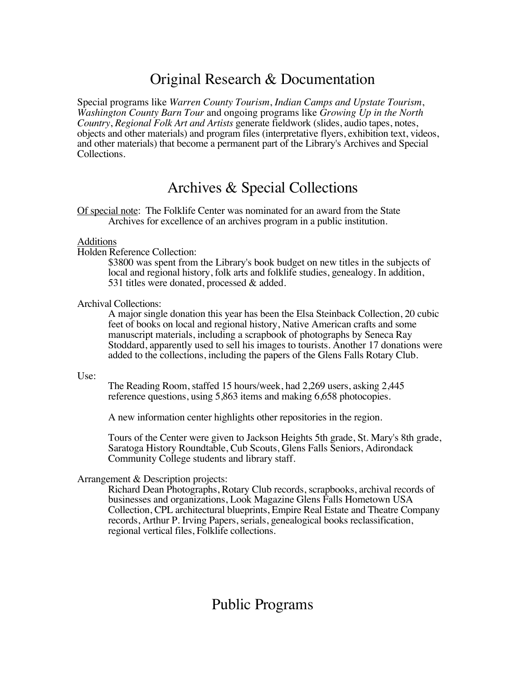# Original Research & Documentation

Special programs like *Warren County Tourism*, *Indian Camps and Upstate Tourism*, *Washington County Barn Tour* and ongoing programs like *Growing Up in the North Country*, *Regional Folk Art and Artists* generate fieldwork (slides, audio tapes, notes, objects and other materials) and program files (interpretative flyers, exhibition text, videos, and other materials) that become a permanent part of the Library's Archives and Special Collections.

## Archives & Special Collections

Of special note: The Folklife Center was nominated for an award from the State Archives for excellence of an archives program in a public institution.

## Additions

Holden Reference Collection:

\$3800 was spent from the Library's book budget on new titles in the subjects of local and regional history, folk arts and folklife studies, genealogy. In addition, 531 titles were donated, processed & added.

## Archival Collections:

A major single donation this year has been the Elsa Steinback Collection, 20 cubic feet of books on local and regional history, Native American crafts and some manuscript materials, including a scrapbook of photographs by Seneca Ray Stoddard, apparently used to sell his images to tourists. Another 17 donations were added to the collections, including the papers of the Glens Falls Rotary Club.

#### Use:

The Reading Room, staffed 15 hours/week, had 2,269 users, asking 2,445 reference questions, using 5,863 items and making 6,658 photocopies.

A new information center highlights other repositories in the region.

Tours of the Center were given to Jackson Heights 5th grade, St. Mary's 8th grade, Saratoga History Roundtable, Cub Scouts, Glens Falls Seniors, Adirondack Community College students and library staff.

## Arrangement & Description projects:

Richard Dean Photographs, Rotary Club records, scrapbooks, archival records of businesses and organizations, Look Magazine Glens Falls Hometown USA Collection, CPL architectural blueprints, Empire Real Estate and Theatre Company records, Arthur P. Irving Papers, serials, genealogical books reclassification, regional vertical files, Folklife collections.

# Public Programs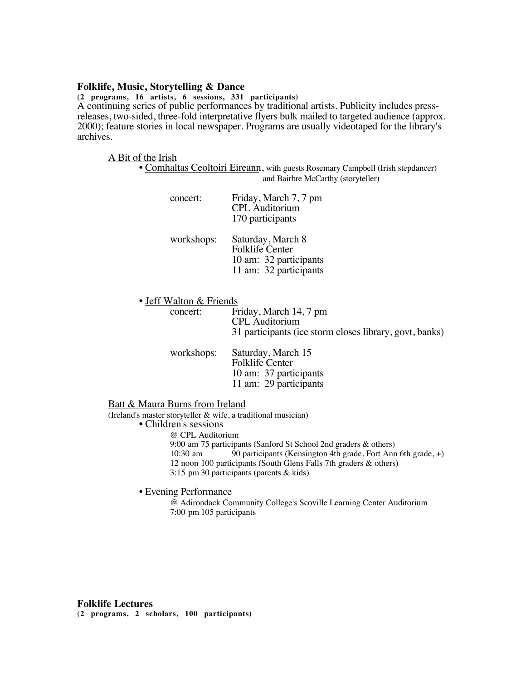## **Folklife, Music, Storytelling & Dance**

**(2 programs, 16 artists, 6 sessions, 331 participants)** A continuing series of public performances by traditional artists. Publicity includes pressreleases, two-sided, three-fold interpretative flyers bulk mailed to targeted audience (approx. 2000); feature stories in local newspaper. Programs are usually videotaped for the library's archives.

#### A Bit of the Irish

• Comhaltas Ceoltoiri Eireann, with guests Rosemary Campbell (Irish stepdancer) and Bairbre McCarthy (storyteller)

| concert:   | Friday, March 7, 7 pm<br><b>CPL</b> Auditorium<br>170 participants                              |
|------------|-------------------------------------------------------------------------------------------------|
| workshops: | Saturday, March 8<br><b>Folklife Center</b><br>10 am: 32 participants<br>11 am: 32 participants |

• Jeff Walton & Friends<br>concert: Fr

Friday, March 14, 7 pm CPL Auditorium 31 participants (ice storm closes library, govt, banks)

| workshops: | Saturday, March 15     |  |  |
|------------|------------------------|--|--|
|            | <b>Folklife Center</b> |  |  |
|            | 10 am: 37 participants |  |  |
|            | 11 am: 29 participants |  |  |

Batt & Maura Burns from Ireland

(Ireland's master storyteller & wife, a traditional musician)

• Children's sessions

@ CPL Auditorium

9:00 am 75 participants (Sanford St School 2nd graders & others) 10:30 am  $\overline{90}$  participants (Kensington 4th grade, Fort Ann 6th grade, +) 12 noon 100 participants (South Glens Falls 7th graders & others) 3:15 pm 30 participants (parents & kids)

• Evening Performance

@ Adirondack Community College's Scoville Learning Center Auditorium 7:00 pm 105 participants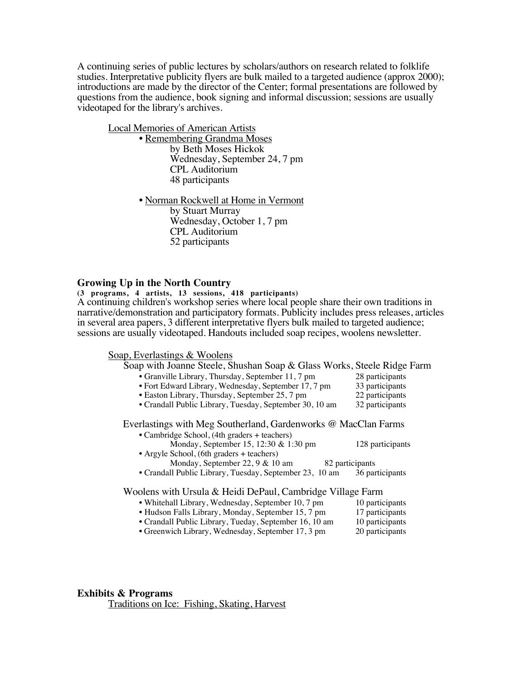A continuing series of public lectures by scholars/authors on research related to folklife studies. Interpretative publicity flyers are bulk mailed to a targeted audience (approx 2000); introductions are made by the director of the Center; formal presentations are followed by questions from the audience, book signing and informal discussion; sessions are usually videotaped for the library's archives.

Local Memories of American Artists • Remembering Grandma Moses by Beth Moses Hickok Wednesday, September 24, 7 pm CPL Auditorium 48 participants • Norman Rockwell at Home in Vermont

by Stuart Murray Wednesday, October 1, 7 pm CPL Auditorium 52 participants

### **Growing Up in the North Country**

**(3 programs, 4 artists, 13 sessions, 418 participants)** A continuing children's workshop series where local people share their own traditions in narrative/demonstration and participatory formats. Publicity includes press releases, articles in several area papers, 3 different interpretative flyers bulk mailed to targeted audience; sessions are usually videotaped. Handouts included soap recipes, woolens newsletter.

Soap, Everlastings & Woolens

| Soap with Joanne Steele, Shushan Soap & Glass Works, Steele Ridge Farm                                         |                  |
|----------------------------------------------------------------------------------------------------------------|------------------|
| • Granville Library, Thursday, September 11, 7 pm                                                              | 28 participants  |
| • Fort Edward Library, Wednesday, September 17, 7 pm                                                           | 33 participants  |
| • Easton Library, Thursday, September 25, 7 pm                                                                 | 22 participants  |
| • Crandall Public Library, Tuesday, September 30, 10 am                                                        | 32 participants  |
| Everlastings with Meg Southerland, Gardenworks @ MacClan Farms<br>• Cambridge School, (4th graders + teachers) |                  |
| Monday, September 15, 12:30 & 1:30 pm                                                                          | 128 participants |
| • Argyle School, (6th graders + teachers)                                                                      |                  |
| Monday, September 22, $9 & 10$ am                                                                              | 82 participants  |
| • Crandall Public Library, Tuesday, September 23, 10 am                                                        | 36 participants  |
| Woolens with Ursula & Heidi DePaul, Cambridge Village Farm                                                     |                  |
| $\sim$ Whitehell Lines Wednesday Contenter 10, 7 nm $\sim$ 10 nontainente                                      |                  |

- Whitehall Library, Wednesday, September 10, 7 pm 10 participants • Hudson Falls Library, Monday, September 15, 7 pm 17 participants
- Crandall Public Library, Tueday, September 16, 10 am 10 participants
- Greenwich Library, Wednesday, September 17, 3 pm 20 participants

## **Exhibits & Programs**

Traditions on Ice: Fishing, Skating, Harvest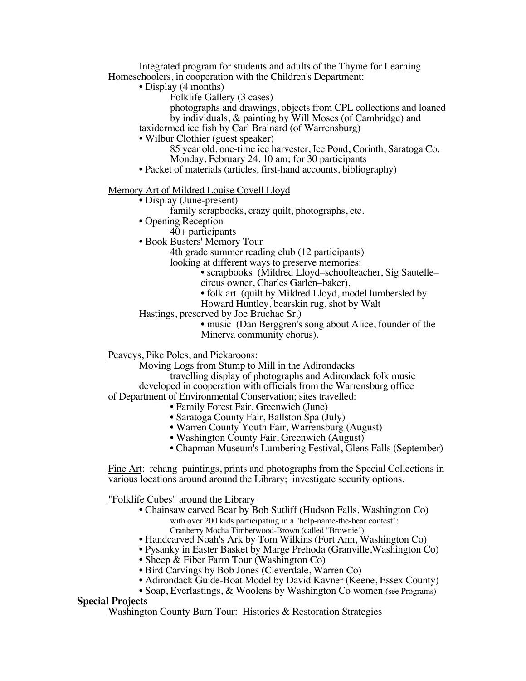Integrated program for students and adults of the Thyme for Learning Homeschoolers, in cooperation with the Children's Department:

• Display (4 months)

Folklife Gallery (3 cases)

photographs and drawings, objects from CPL collections and loaned by individuals, & painting by Will Moses (of Cambridge) and

taxidermed ice fish by Carl Brainard (of Warrensburg)

• Wilbur Clothier (guest speaker)

85 year old, one-time ice harvester, Ice Pond, Corinth, Saratoga Co. Monday, February 24, 10 am; for 30 participants

• Packet of materials (articles, first-hand accounts, bibliography)

#### Memory Art of Mildred Louise Covell Lloyd

- Display (June-present)
	- family scrapbooks, crazy quilt, photographs, etc.
- Opening Reception
	- 40+ participants
- Book Busters' Memory Tour
	- 4th grade summer reading club (12 participants)

looking at different ways to preserve memories:

- scrapbooks (Mildred Lloyd–schoolteacher, Sig Sautelle–
- circus owner, Charles Garlen–baker),
- folk art (quilt by Mildred Lloyd, model lumbersled by
- Howard Huntley, bearskin rug, shot by Walt
- Hastings, preserved by Joe Bruchac Sr.)

• music (Dan Berggren's song about Alice, founder of the Minerva community chorus).

Peaveys, Pike Poles, and Pickaroons:

Moving Logs from Stump to Mill in the Adirondacks

travelling display of photographs and Adirondack folk music developed in cooperation with officials from the Warrensburg office of Department of Environmental Conservation; sites travelled:

- Family Forest Fair, Greenwich (June)
	-
	- Saratoga County Fair, Ballston Spa (July)
	- Warren County Youth Fair, Warrensburg (August)
	- Washington County Fair, Greenwich (August)
- Chapman Museum's Lumbering Festival, Glens Falls (September)

Fine Art: rehang paintings, prints and photographs from the Special Collections in various locations around around the Library; investigate security options.

"Folklife Cubes" around the Library

- Chainsaw carved Bear by Bob Sutliff (Hudson Falls, Washington Co) with over 200 kids participating in a "help-name-the-bear contest": Cranberry Mocha Timberwood-Brown (called "Brownie")
- Handcarved Noah's Ark by Tom Wilkins (Fort Ann, Washington Co)
- Pysanky in Easter Basket by Marge Prehoda (Granville,Washington Co)
- Sheep & Fiber Farm Tour (Washington Co)
- Bird Carvings by Bob Jones (Cleverdale, Warren Co)
- Adirondack Guide-Boat Model by David Kavner (Keene, Essex County)
- Soap, Everlastings, & Woolens by Washington Co women (see Programs)

## **Special Projects**

Washington County Barn Tour: Histories & Restoration Strategies